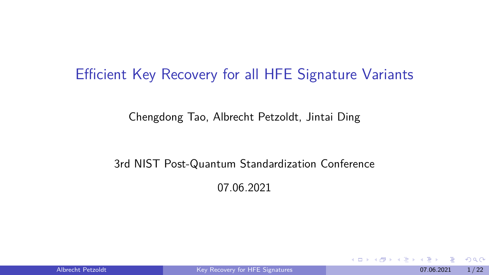# <span id="page-0-0"></span>Efficient Key Recovery for all HFE Signature Variants

Chengdong Tao, Albrecht Petzoldt, Jintai Ding

# 3rd NIST Post-Quantum Standardization Conference 07.06.2021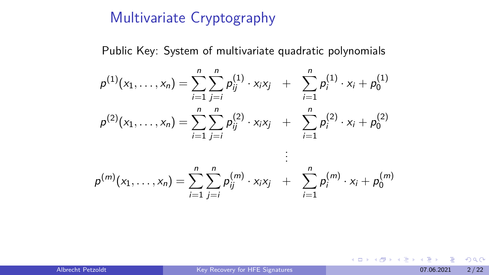### Multivariate Cryptography

 $i=1$  j=i

Public Key: System of multivariate quadratic polynomials

$$
p^{(1)}(x_1, \ldots, x_n) = \sum_{i=1}^n \sum_{j=i}^n p_{ij}^{(1)} \cdot x_i x_j + \sum_{i=1}^n p_i^{(1)} \cdot x_i + p_0^{(1)}
$$
  

$$
p^{(2)}(x_1, \ldots, x_n) = \sum_{i=1}^n \sum_{j=i}^n p_{ij}^{(2)} \cdot x_i x_j + \sum_{i=1}^n p_i^{(2)} \cdot x_i + p_0^{(2)}
$$
  

$$
\vdots
$$
  

$$
p^{(m)}(x_1, \ldots, x_n) = \sum_{i=1}^n \sum_{j=i}^n p_{ij}^{(m)} \cdot x_i x_j + \sum_{i=1}^n p_i^{(m)} \cdot x_i + p_0^{(m)}
$$

 $i=1$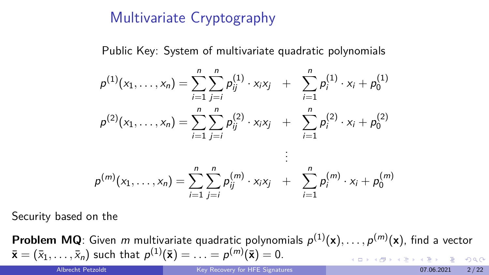### Multivariate Cryptography

Public Key: System of multivariate quadratic polynomials

$$
p^{(1)}(x_1, \ldots, x_n) = \sum_{i=1}^n \sum_{j=i}^n p_{ij}^{(1)} \cdot x_i x_j + \sum_{i=1}^n p_i^{(1)} \cdot x_i + p_0^{(1)}
$$
  

$$
p^{(2)}(x_1, \ldots, x_n) = \sum_{i=1}^n \sum_{j=i}^n p_{ij}^{(2)} \cdot x_i x_j + \sum_{i=1}^n p_i^{(2)} \cdot x_i + p_0^{(2)}
$$
  

$$
\vdots
$$
  

$$
p^{(m)}(x_1, \ldots, x_n) = \sum_{i=1}^n \sum_{j=i}^n p_{ij}^{(m)} \cdot x_i x_j + \sum_{i=1}^n p_i^{(m)} \cdot x_i + p_0^{(m)}
$$

Security based on the

**Problem MQ**: Given m multivariate quadratic polynomials  $p^{(1)}(\mathbf{x}), \ldots, p^{(m)}(\mathbf{x})$ , find a vector  $\bar{\mathbf{x}} = (\bar{x}_1, \ldots, \bar{x}_n)$  such that  $p^{(1)}(\bar{\mathbf{x}}) = \ldots = p^{(m)}(\bar{\mathbf{x}}) = 0.$  $299$ Albrecht Petzoldt [Key Recovery for HFE Signatures](#page-0-0) 07.06.2021 2 / 22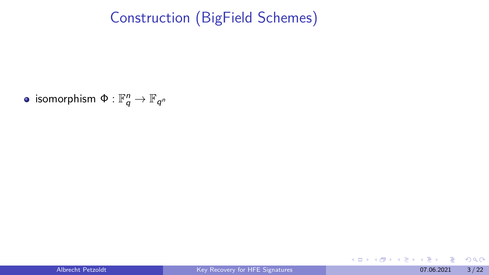isomorphism  $\Phi: \mathbb{F}_q^n \to \mathbb{F}_{q^n}$ 

イロト 不倒 トイ君 トイ君 造  $299$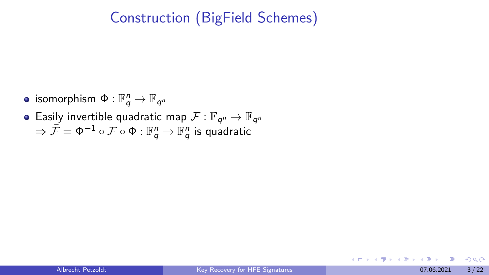- isomorphism  $\Phi: \mathbb{F}_q^n \to \mathbb{F}_{q^n}$
- Easily invertible quadratic map  $\mathcal{F}:\mathbb{F}_{q^n}\rightarrow\mathbb{F}_{q^n}$  $\Rightarrow\bar{\mathcal{F}}=\Phi^{-1}\circ\mathcal{F}\circ\Phi:\mathbb{F}_q^n\to\mathbb{F}_q^n$  is quadratic

어서 동에서 동

4 0 F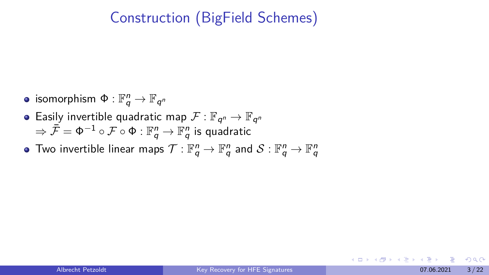- isomorphism  $\Phi: \mathbb{F}_q^n \to \mathbb{F}_{q^n}$
- Easily invertible quadratic map  $\mathcal{F}:\mathbb{F}_{q^n}\rightarrow\mathbb{F}_{q^n}$  $\Rightarrow\bar{\mathcal{F}}=\Phi^{-1}\circ\mathcal{F}\circ\Phi:\mathbb{F}_q^n\to\mathbb{F}_q^n$  is quadratic
- Two invertible linear maps  $\mathcal{T}:\mathbb{F}_q^n \to \mathbb{F}_q^n$  and  $\mathcal{S}: \mathbb{F}_q^n \to \mathbb{F}_q^n$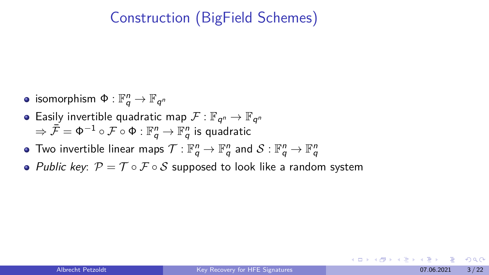- isomorphism  $\Phi: \mathbb{F}_q^n \to \mathbb{F}_{q^n}$
- Easily invertible quadratic map  $\mathcal{F}:\mathbb{F}_{q^n}\rightarrow\mathbb{F}_{q^n}$  $\Rightarrow\bar{\mathcal{F}}=\Phi^{-1}\circ\mathcal{F}\circ\Phi:\mathbb{F}_q^n\to\mathbb{F}_q^n$  is quadratic
- Two invertible linear maps  $\mathcal{T}:\mathbb{F}_q^n \to \mathbb{F}_q^n$  and  $\mathcal{S}: \mathbb{F}_q^n \to \mathbb{F}_q^n$
- Public key:  $P = T \circ F \circ S$  supposed to look like a random system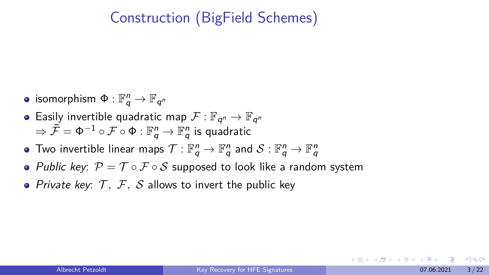- isomorphism  $\Phi: \mathbb{F}_q^n \to \mathbb{F}_{q^n}$
- Easily invertible quadratic map  $\mathcal{F}:\mathbb{F}_{q^n}\rightarrow\mathbb{F}_{q^n}$  $\Rightarrow\bar{\mathcal{F}}=\Phi^{-1}\circ\mathcal{F}\circ\Phi:\mathbb{F}_q^n\to\mathbb{F}_q^n$  is quadratic
- Two invertible linear maps  $\mathcal{T}:\mathbb{F}_q^n \to \mathbb{F}_q^n$  and  $\mathcal{S}: \mathbb{F}_q^n \to \mathbb{F}_q^n$
- Public key:  $P = T \circ F \circ S$  supposed to look like a random system
- Private key:  $\mathcal{T}, \mathcal{F}, \mathcal{S}$  allows to invert the public key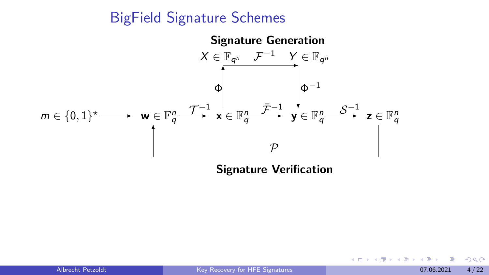# BigField Signature Schemes



**Signature Verification**

つへへ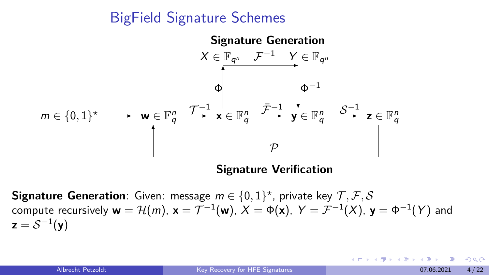# BigField Signature Schemes



#### **Signature Verification**

**Signature Generation**: Given: message  $m \in \{0,1\}^\star$ , private key  $\mathcal{T}, \mathcal{F}, \mathcal{S}$ compute recursively  ${\sf w}=\mathcal{H}(m)$ ,  ${\sf x}=\mathcal{T}^{-1}({\sf w})$ ,  $X=\Phi({\sf x})$ ,  $\,Y=\mathcal{F}^{-1}(X)$ ,  ${\sf y}=\Phi^{-1}(Y)$  and  $\mathsf{z} = \mathcal{S}^{-1}(\mathsf{y})$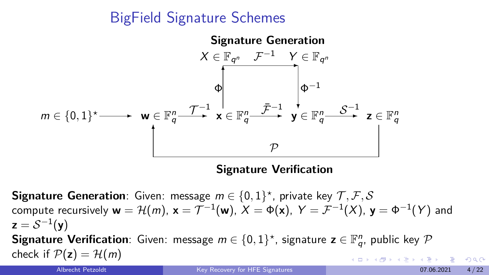# BigField Signature Schemes



#### **Signature Verification**

**Signature Generation**: Given: message  $m \in \{0,1\}^\star$ , private key  $\mathcal{T}, \mathcal{F}, \mathcal{S}$ compute recursively  ${\sf w}=\mathcal{H}(m)$ ,  ${\sf x}=\mathcal{T}^{-1}({\sf w})$ ,  $X=\Phi({\sf x})$ ,  $\,Y=\mathcal{F}^{-1}(X)$ ,  ${\sf y}=\Phi^{-1}(Y)$  and  $\mathsf{z} = \mathcal{S}^{-1}(\mathsf{y})$  ${\sf Signature\,\,Verification}$ : Given: message  $m \in \{0,1\}^\star$ , signature  ${\sf z} \in \mathbb{F}_q^n$ , public key  ${\mathcal P}$ check if  $P(z) = H(m)$ 

つひつ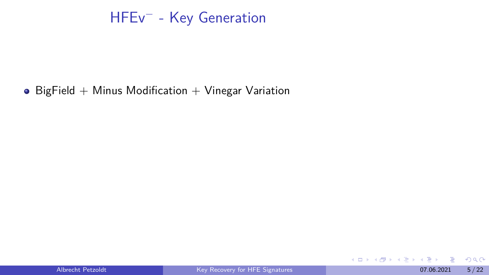• BigField + Minus Modification + Vinegar Variation

 $299$ 

**K ロ ▶ K 御 ▶ K 君 ▶ K 君**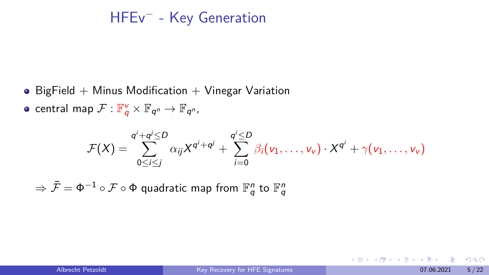- $\bullet$  BigField + Minus Modification + Vinegar Variation
- central map  $\mathcal{F}:\mathbb{F}_{q}^{\mathsf{v}}\times\mathbb{F}_{q^n}\rightarrow\mathbb{F}_{q^n},$

$$
\mathcal{F}(X) = \sum_{0 \leq i \leq j}^{q^i + q^j \leq D} \alpha_{ij} X^{q^i + q^j} + \sum_{i=0}^{q^i \leq D} \beta_i(v_1, \ldots, v_v) \cdot X^{q^i} + \gamma(v_1, \ldots, v_v)
$$

 $\Rightarrow\bar{\cal F}=\Phi^{-1}\circ{\cal F}\circ\Phi$  quadratic map from  $\mathbb{F}_q^n$  to  $\mathbb{F}_q^n$ 

→ 何 ▶ → ヨ ▶ → ヨ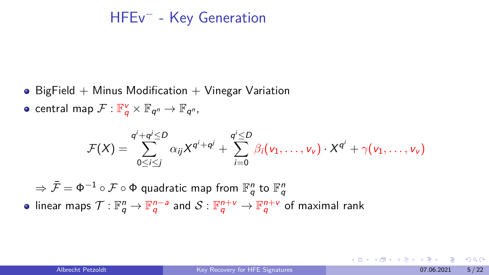- $\bullet$  BigField + Minus Modification + Vinegar Variation
- central map  $\mathcal{F}:\mathbb{F}_{q}^{\mathsf{v}}\times\mathbb{F}_{q^n}\rightarrow\mathbb{F}_{q^n},$

$$
\mathcal{F}(X) = \sum_{0 \leq i \leq j}^{q^i + q^j \leq D} \alpha_{ij} X^{q^i + q^j} + \sum_{i=0}^{q^i \leq D} \beta_i (v_1, \ldots, v_v) \cdot X^{q^i} + \gamma(v_1, \ldots, v_v)
$$

 $\Rightarrow\bar{\cal F}=\Phi^{-1}\circ{\cal F}\circ\Phi$  quadratic map from  $\mathbb{F}_q^n$  to  $\mathbb{F}_q^n$ linear maps  $\mathcal{T}:\mathbb{F}_q^n\to\mathbb{F}_q^{n-a}$  and  $\mathcal{S}:\mathbb{F}_q^{n+\nu}\to\mathbb{F}_q^{n+\nu}$  of maximal rank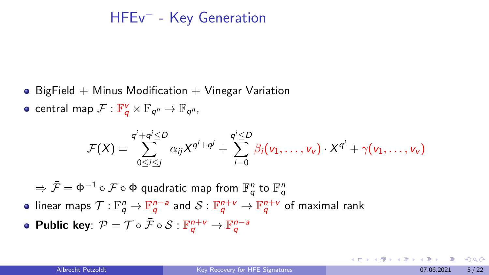- $\bullet$  BigField + Minus Modification + Vinegar Variation
- central map  $\mathcal{F}:\mathbb{F}_{q}^{\mathsf{v}}\times\mathbb{F}_{q^n}\rightarrow\mathbb{F}_{q^n},$

$$
\mathcal{F}(X) = \sum_{0 \leq i \leq j}^{q^i + q^j \leq D} \alpha_{ij} X^{q^i + q^j} + \sum_{i=0}^{q^i \leq D} \beta_i(v_1, \ldots, v_v) \cdot X^{q^i} + \gamma(v_1, \ldots, v_v)
$$

 $\Rightarrow\bar{\cal F}=\Phi^{-1}\circ{\cal F}\circ\Phi$  quadratic map from  $\mathbb{F}_q^n$  to  $\mathbb{F}_q^n$ 

- linear maps  $\mathcal{T}:\mathbb{F}_q^n\to\mathbb{F}_q^{n-a}$  and  $\mathcal{S}:\mathbb{F}_q^{n+\nu}\to\mathbb{F}_q^{n+\nu}$  of maximal rank
- ${\sf Public\; key} \colon \mathcal{P} = \mathcal{T} \circ \bar{\mathcal{F}} \circ \mathcal{S} : \mathbb{F}_q^{n+\nu} \to \mathbb{F}_q^{n-a}$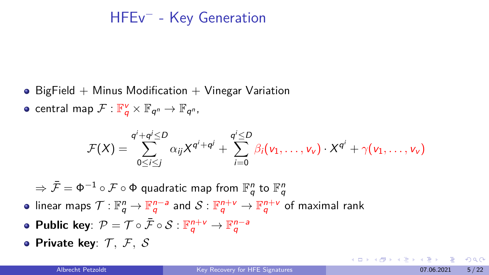- $\bullet$  BigField + Minus Modification + Vinegar Variation
- central map  $\mathcal{F}:\mathbb{F}_{q}^{\mathsf{v}}\times\mathbb{F}_{q^n}\rightarrow\mathbb{F}_{q^n},$

$$
\mathcal{F}(X) = \sum_{0 \leq i \leq j}^{q^i + q^j \leq D} \alpha_{ij} X^{q^i + q^j} + \sum_{i=0}^{q^i \leq D} \beta_i(v_1, \ldots, v_v) \cdot X^{q^i} + \gamma(v_1, \ldots, v_v)
$$

 $\Rightarrow\bar{\cal F}=\Phi^{-1}\circ{\cal F}\circ\Phi$  quadratic map from  $\mathbb{F}_q^n$  to  $\mathbb{F}_q^n$ 

- linear maps  $\mathcal{T}:\mathbb{F}_q^n\to\mathbb{F}_q^{n-a}$  and  $\mathcal{S}:\mathbb{F}_q^{n+\nu}\to\mathbb{F}_q^{n+\nu}$  of maximal rank
- ${\sf Public\; key} \colon \mathcal{P} = \mathcal{T} \circ \bar{\mathcal{F}} \circ \mathcal{S} : \mathbb{F}_q^{n+\nu} \to \mathbb{F}_q^{n-a}$
- **Private key:**  $\mathcal{T}, \mathcal{F}, \mathcal{S}$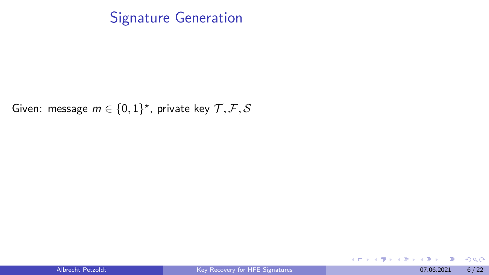Given: message  $m \in \{0,1\}^\star$ , private key  $\mathcal{T}, \mathcal{F}, \mathcal{S}$ 

 $299$ 

**K ロ ▶ K 御 ▶ K 君 ▶ K 君**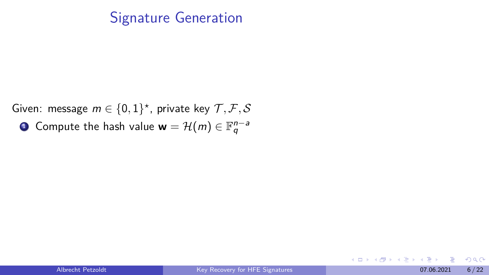Given: message  $m \in \{0,1\}^\star$ , private key  $\mathcal{T}, \mathcal{F}, \mathcal{S}$  $\blacksquare$  Compute the hash value  $\mathsf{w} = \mathcal{H}(m) \in \mathbb{F}_q^{n-a}$ 

 $\leftarrow$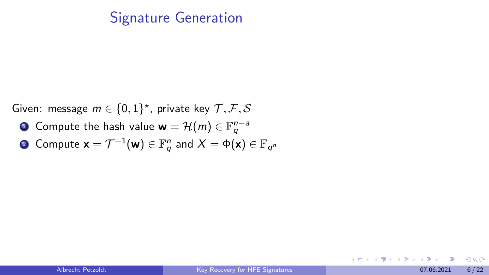Given: message  $m \in \{0,1\}^\star$ , private key  $\mathcal{T}, \mathcal{F}, \mathcal{S}$ 

 $\blacksquare$  Compute the hash value  $\mathsf{w} = \mathcal{H}(m) \in \mathbb{F}_q^{n-a}$ 

• Compute 
$$
\mathbf{x} = \mathcal{T}^{-1}(\mathbf{w}) \in \mathbb{F}_q^n
$$
 and  $X = \Phi(\mathbf{x}) \in \mathbb{F}_{q^n}$ 

 $\leftarrow$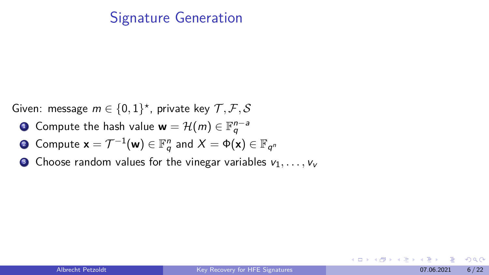Given: message  $m \in \{0,1\}^\star$ , private key  $\mathcal{T}, \mathcal{F}, \mathcal{S}$ 

- $\blacksquare$  Compute the hash value  $\mathsf{w} = \mathcal{H}(m) \in \mathbb{F}_q^{n-a}$
- $\bullet$  Compute  $\mathsf{x} = \mathcal{T}^{-1}(\mathsf{w}) \in \mathbb{F}_q^n$  and  $X = \Phi(\mathsf{x}) \in \mathbb{F}_{q^n}$
- **3** Choose random values for the vinegar variables  $v_1, \ldots, v_v$

つへへ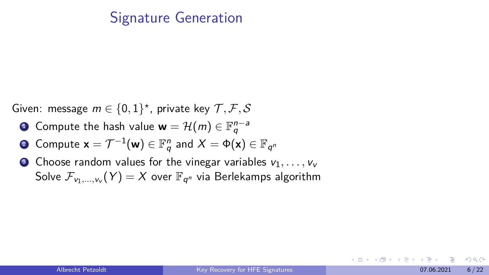Given: message  $m \in \{0,1\}^\star$ , private key  $\mathcal{T}, \mathcal{F}, \mathcal{S}$ 

- $\blacksquare$  Compute the hash value  $\mathsf{w} = \mathcal{H}(m) \in \mathbb{F}_q^{n-a}$
- $\bullet$  Compute  $\mathsf{x} = \mathcal{T}^{-1}(\mathsf{w}) \in \mathbb{F}_q^n$  and  $X = \Phi(\mathsf{x}) \in \mathbb{F}_{q^n}$
- **3** Choose random values for the vinegar variables  $v_1, \ldots, v_v$ Solve  $\mathcal{F}_{\mathsf{v}_1,...,\mathsf{v}_\mathsf{v}}(\mathsf{Y}) = X$  over  $\mathbb{F}_{q^n}$  via Berlekamps algorithm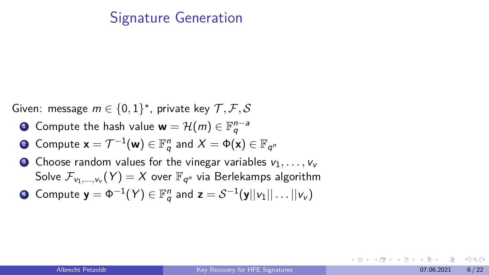Given: message  $m \in \{0,1\}^\star$ , private key  $\mathcal{T}, \mathcal{F}, \mathcal{S}$ 

• Compute the hash value 
$$
\mathbf{w} = \mathcal{H}(m) \in \mathbb{F}_q^{n-a}
$$

• Compute 
$$
\mathbf{x} = \mathcal{T}^{-1}(\mathbf{w}) \in \mathbb{F}_q^n
$$
 and  $X = \Phi(\mathbf{x}) \in \mathbb{F}_{q^n}$ 

\n- Choose random values for the vinegar variables 
$$
v_1, \ldots, v_v
$$
 Solve  $\mathcal{F}_{v_1, \ldots, v_v}(Y) = X$  over  $\mathbb{F}_{q^n}$  via Berlekamps algorithm
\n

• Compute 
$$
\mathbf{y} = \Phi^{-1}(Y) \in \mathbb{F}_q^n
$$
 and  $\mathbf{z} = \mathcal{S}^{-1}(\mathbf{y} \vert \vert v_1 \vert \vert \ldots \vert \vert v_v)$ 

重

 $299$ 

**K ロ ▶ K 御 ▶ K 君 ▶ K 君**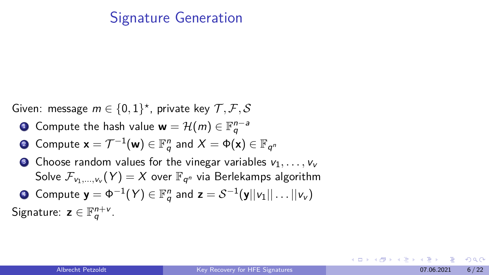Given: message  $m \in \{0,1\}^\star$ , private key  $\mathcal{T}, \mathcal{F}, \mathcal{S}$ 

• Compute the hash value 
$$
\mathbf{w} = \mathcal{H}(m) \in \mathbb{F}_q^{n-a}
$$

• Compute 
$$
\mathbf{x} = \mathcal{T}^{-1}(\mathbf{w}) \in \mathbb{F}_q^n
$$
 and  $X = \Phi(\mathbf{x}) \in \mathbb{F}_{q^n}$ 

**3** Choose random values for the vinegar variables  $v_1, \ldots, v_v$ Solve  $\mathcal{F}_{\mathsf{v}_1,...,\mathsf{v}_\mathsf{v}}(\mathsf{Y}) = X$  over  $\mathbb{F}_{q^n}$  via Berlekamps algorithm  $\bullet$  Compute  $\mathbf{y} = \Phi^{-1}(Y) \in \mathbb{F}_q^n$  and  $\mathbf{z} = \mathcal{S}^{-1}(\mathbf{y}||v_1|| \ldots ||v_\mathcal{V})$ 

Signature:  $\mathbf{z} \in \mathbb{F}_q^{n+\nu}$ .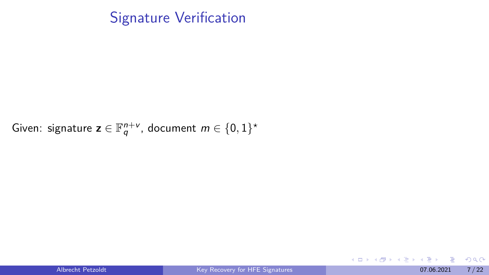Given: signature  $\mathsf{z} \in \mathbb{F}_q^{n+\nu}$ , document  $m \in \{0,1\}^\star$ 

 $299$ 

4 0 8

→ 御きす者をす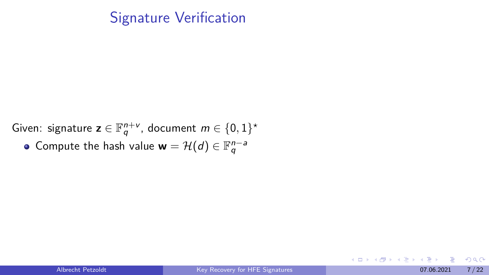Given: signature  $\mathsf{z} \in \mathbb{F}_q^{n+\nu}$ , document  $m \in \{0,1\}^\star$ 

Compute the hash value  $\mathbf{w} = \mathcal{H}(d) \in \mathbb{F}_q^{n-a}$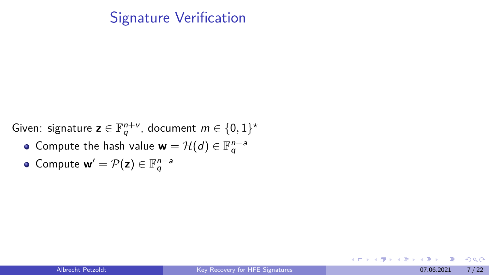Given: signature  $\mathsf{z} \in \mathbb{F}_q^{n+\nu}$ , document  $m \in \{0,1\}^\star$ 

- Compute the hash value  $\mathbf{w} = \mathcal{H}(d) \in \mathbb{F}_q^{n-a}$
- Compute  $\mathbf{w}' = \mathcal{P}(\mathbf{z}) \in \mathbb{F}_q^{n-a}$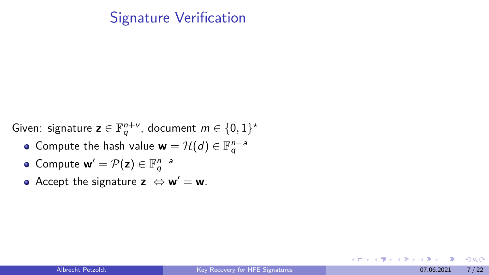Given: signature  $\mathsf{z} \in \mathbb{F}_q^{n+\nu}$ , document  $m \in \{0,1\}^\star$ 

- Compute the hash value  $\mathbf{w} = \mathcal{H}(d) \in \mathbb{F}_q^{n-a}$
- Compute  $\mathbf{w}' = \mathcal{P}(\mathbf{z}) \in \mathbb{F}_q^{n-a}$
- Accept the signature  $z \Leftrightarrow w' = w$ .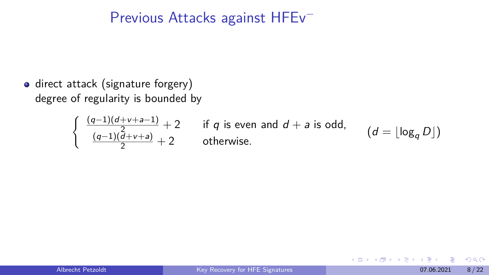• direct attack (signature forgery) degree of regularity is bounded by

$$
\begin{cases}\n\frac{(q-1)(d+v+a-1)}{2} + 2 & \text{if } q \text{ is even and } d+a \text{ is odd,} \\
\frac{(q-1)(d+v+a)}{2} + 2 & \text{otherwise.} \n\end{cases}\n\quad (d = \lfloor \log_q D \rfloor)
$$

←□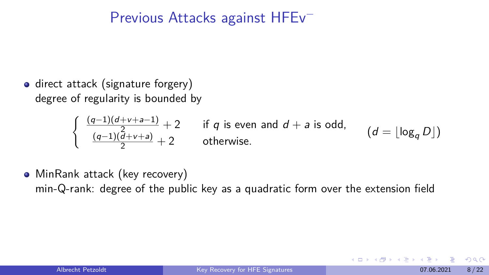• direct attack (signature forgery) degree of regularity is bounded by

$$
\begin{cases}\n\frac{(q-1)(d+v+a-1)}{2} + 2 & \text{if } q \text{ is even and } d+a \text{ is odd,} \\
\frac{(q-1)(d+v+a)}{2} + 2 & \text{otherwise.} \n\end{cases}\n\quad (d = \lfloor \log_q D \rfloor)
$$

• MinRank attack (key recovery) min-Q-rank: degree of the public key as a quadratic form over the extension field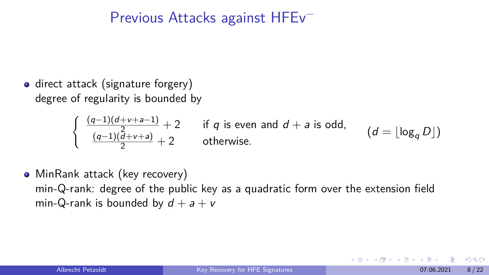• direct attack (signature forgery) degree of regularity is bounded by

$$
\begin{cases}\n\frac{(q-1)(d+v+a-1)}{2} + 2 & \text{if } q \text{ is even and } d+a \text{ is odd,} \\
\frac{(q-1)(d+v+a)}{2} + 2 & \text{otherwise.} \n\end{cases}\n\quad (d = \lfloor \log_q D \rfloor)
$$

• MinRank attack (key recovery) min-Q-rank: degree of the public key as a quadratic form over the extension field min-Q-rank is bounded by  $d + a + v$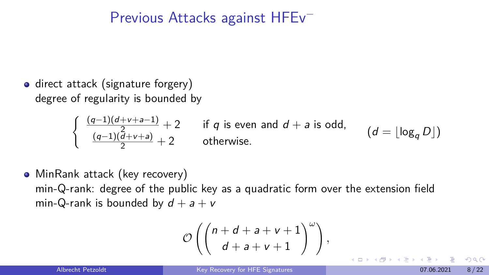• direct attack (signature forgery) degree of regularity is bounded by

$$
\begin{cases}\n\frac{(q-1)(d+v+a-1)}{2} + 2 & \text{if } q \text{ is even and } d+a \text{ is odd,} \\
\frac{(q-1)(d+v+a)}{2} + 2 & \text{otherwise.} \n\end{cases}\n\quad (d = \lfloor \log_q D \rfloor)
$$

• MinRank attack (key recovery) min-Q-rank: degree of the public key as a quadratic form over the extension field min-Q-rank is bounded by  $d + a + v$ 

$$
\mathcal{O}\left(\binom{n+d+a+\nu+1}{d+a+\nu+1}^{\omega}\right),\,
$$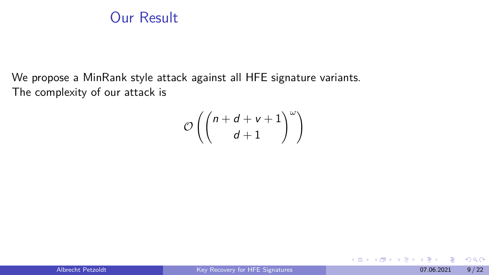### Our Result

We propose a MinRank style attack against all HFE signature variants. The complexity of our attack is

$$
\mathcal{O}\left(\binom{n+d+v+1}{d+1}^{\omega}\right)
$$

 $299$ 

4 0 8 → 母 - 4 E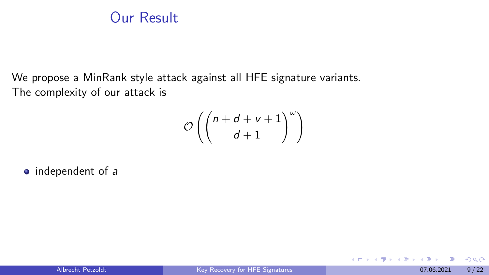### Our Result

We propose a MinRank style attack against all HFE signature variants. The complexity of our attack is

$$
\mathcal{O}\left(\binom{n+d+v+1}{d+1}^{\omega}\right)
$$

 $\bullet$  independent of  $a$ 

 $299$ 

4 0 8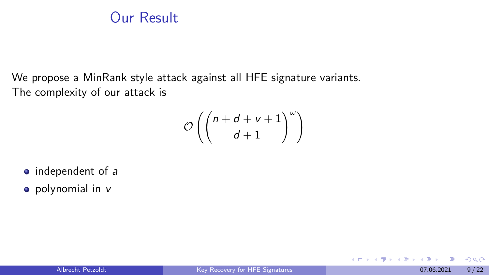### Our Result

<span id="page-33-0"></span>We propose a MinRank style attack against all HFE signature variants. The complexity of our attack is

$$
\mathcal{O}\left(\binom{n+d+v+1}{d+1}^{\omega}\right)
$$

- $\bullet$  independent of  $a$
- polynomial in v

←□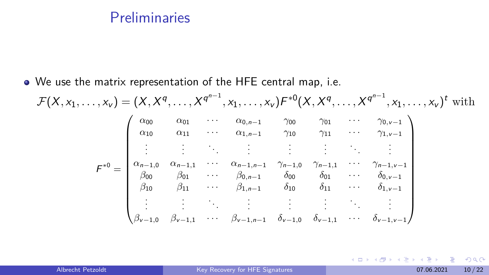### **Preliminaries**

<span id="page-34-0"></span>We use the matrix representation of the HFE central map, i.e.

$$
\mathcal{F}(X, x_1, \ldots, x_v) = (X, X^q, \ldots, X^{q^{n-1}}, x_1, \ldots, x_v) \mathcal{F}^{*0}(X, X^q, \ldots, X^{q^{n-1}}, x_1, \ldots, x_v)^t \text{ with}
$$
\n
$$
\mathcal{F}^{*0} = \begin{pmatrix}\n\alpha_{00} & \alpha_{01} & \cdots & \alpha_{0,n-1} & \gamma_{00} & \gamma_{01} & \cdots & \gamma_{0,v-1} \\
\alpha_{10} & \alpha_{11} & \cdots & \alpha_{1,n-1} & \gamma_{10} & \gamma_{11} & \cdots & \gamma_{1,v-1} \\
\vdots & \vdots & \ddots & \vdots & \vdots & \vdots & \ddots & \vdots \\
\alpha_{n-1,0} & \alpha_{n-1,1} & \cdots & \alpha_{n-1,n-1} & \gamma_{n-1,0} & \gamma_{n-1,1} & \cdots & \gamma_{n-1,v-1} \\
\beta_{00} & \beta_{01} & \cdots & \beta_{0,n-1} & \delta_{00} & \delta_{01} & \cdots & \delta_{0,v-1} \\
\beta_{10} & \beta_{11} & \cdots & \beta_{1,n-1} & \delta_{10} & \delta_{11} & \cdots & \delta_{1,v-1} \\
\vdots & \vdots & \ddots & \vdots & \vdots & \vdots & \ddots & \vdots \\
\beta_{v-1,0} & \beta_{v-1,1} & \cdots & \beta_{v-1,n-1} & \delta_{v-1,0} & \delta_{v-1,1} & \cdots & \delta_{v-1,v-1}\n\end{pmatrix}
$$

 $299$ 

イロト イ御 トイミトイ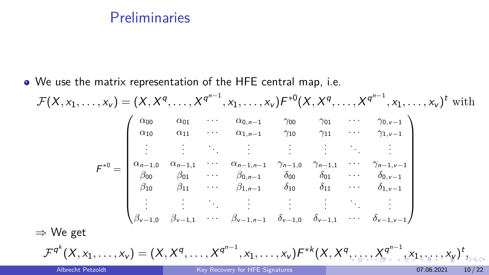### **Preliminaries**

<span id="page-35-0"></span>We use the matrix representation of the HFE central map, i.e.

$$
\mathcal{F}(X, x_1, \ldots, x_v) = (X, X^q, \ldots, X^{q^{n-1}}, x_1, \ldots, x_v) F^{*0}(X, X^q, \ldots, X^{q^{n-1}}, x_1, \ldots, x_v)^t \text{ with}
$$
\n
$$
F^{*0} = \begin{pmatrix}\n\alpha_{00} & \alpha_{01} & \cdots & \alpha_{0,n-1} & \gamma_{00} & \gamma_{01} & \cdots & \gamma_{0,v-1} \\
\alpha_{10} & \alpha_{11} & \cdots & \alpha_{1,n-1} & \gamma_{10} & \gamma_{11} & \cdots & \gamma_{1,v-1} \\
\vdots & \vdots & \vdots & \vdots & \vdots & \vdots & \vdots \\
\alpha_{n-1,0} & \alpha_{n-1,1} & \cdots & \alpha_{n-1,n-1} & \gamma_{n-1,0} & \gamma_{n-1,1} & \cdots & \gamma_{n-1,v-1} \\
\beta_{00} & \beta_{01} & \cdots & \beta_{0,n-1} & \delta_{00} & \delta_{01} & \cdots & \delta_{0,v-1} \\
\beta_{10} & \beta_{11} & \cdots & \beta_{1,n-1} & \delta_{10} & \delta_{11} & \cdots & \delta_{1,v-1} \\
\vdots & \vdots & \vdots & \vdots & \vdots & \vdots & \vdots \\
\beta_{v-1,0} & \beta_{v-1,1} & \cdots & \beta_{v-1,n-1} & \delta_{v-1,0} & \delta_{v-1,1} & \cdots & \delta_{v-1,v-1}\n\end{pmatrix}
$$
\n
$$
\Rightarrow \text{We get}
$$
\n
$$
\mathcal{F}^{q^k}(X, x_1, \ldots, x_v) = (X, X^q, \ldots, X^{q^{n-1}}, x_1, \ldots, x_v) F^{*k}(X, X^q, \ldots, X^{q^{n-1}}, x_1, \ldots, x_v)
$$
\n
$$
\xrightarrow{\text{Albert Petzoldt}} \text{Key recovery for HFE Simatures}
$$
\n
$$
\text{Ailbrecht Petzoldt}
$$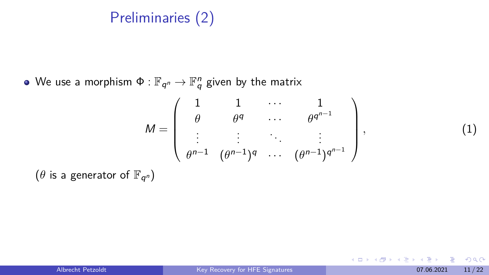<span id="page-36-0"></span>We use a morphism  $\mathsf{\Phi}:\mathbb{F}_{q^n}\rightarrow\mathbb{F}_q^n$  given by the matrix

$$
M = \begin{pmatrix} 1 & 1 & \cdots & 1 \\ \theta & \theta^{q} & \cdots & \theta^{q^{n-1}} \\ \vdots & \vdots & \ddots & \vdots \\ \theta^{n-1} & (\theta^{n-1})^{q} & \cdots & (\theta^{n-1})^{q^{n-1}} \end{pmatrix},
$$
(1)

 $(\theta$  is a generator of  $\mathbb{F}_{q^n})$ 

 $\leftarrow$ 

 $\rightarrow$   $\rightarrow$   $\rightarrow$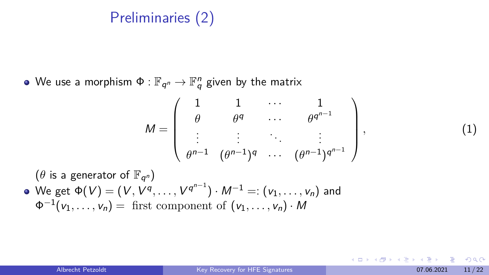We use a morphism  $\mathsf{\Phi}:\mathbb{F}_{q^n}\rightarrow\mathbb{F}_q^n$  given by the matrix

$$
M = \left(\begin{array}{ccccc} 1 & 1 & \cdots & 1 \\ \theta & \theta^q & \cdots & \theta^{q^{n-1}} \\ \vdots & \vdots & \ddots & \vdots \\ \theta^{n-1} & (\theta^{n-1})^q & \cdots & (\theta^{n-1})^{q^{n-1}} \end{array}\right)
$$

 $(\theta$  is a generator of  $\mathbb{F}_{q^n})$ 

We get  $\Phi(V)=(V,V^{q},\ldots,V^{q^{n-1}})\cdot M^{-1}=:(\nu_{1},\ldots,\nu_{n})$  and  $\Phi^{-1}(\nu_1,\ldots,\nu_n) = \text{ first component of } (\nu_1,\ldots,\nu_n) \cdot M$ 

 $2040$ 

*,* (1)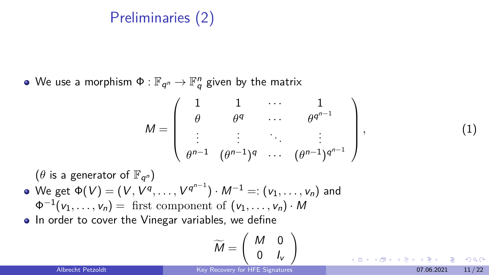<span id="page-38-0"></span>We use a morphism  $\mathsf{\Phi}:\mathbb{F}_{q^n}\rightarrow\mathbb{F}_q^n$  given by the matrix

$$
M = \left(\begin{array}{ccccc} 1 & 1 & \cdots & 1 \\ \theta & \theta^q & \cdots & \theta^{q^{n-1}} \\ \vdots & \vdots & \ddots & \vdots \\ \theta^{n-1} & (\theta^{n-1})^q & \cdots & (\theta^{n-1})^{q^{n-1}} \end{array}\right)
$$

 $(\theta$  is a generator of  $\mathbb{F}_{q^n})$ 

- We get  $\Phi(V)=(V,V^{q},\ldots,V^{q^{n-1}})\cdot M^{-1}=:(\nu_{1},\ldots,\nu_{n})$  and  $\Phi^{-1}(\nu_1,\ldots,\nu_n) = \text{ first component of } (\nu_1,\ldots,\nu_n) \cdot M$
- In order to cover the Vinegar variables, we define

$$
\widetilde{M} = \left(\begin{array}{cc} M & 0 \\ 0 & I_v \end{array}\right)
$$

*,* (1)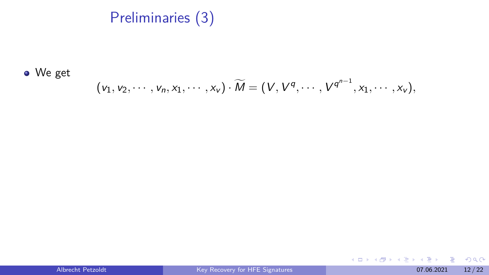#### <span id="page-39-0"></span>We get

$$
(\nu_1,\nu_2,\cdots,\nu_n,x_1,\cdots,x_v)\cdot \widetilde{M}=(V,V^q,\cdots,V^{q^{n-1}},x_1,\cdots,x_v),
$$

**II** 

イロト 不倒 トイ君 トイ君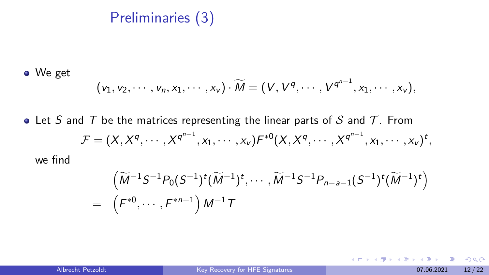#### <span id="page-40-0"></span>• We get

$$
(v_1,v_2,\cdots,v_n,x_1,\cdots,x_v)\cdot \widetilde{M}=(V,V^q,\cdots,V^{q^{n-1}},x_1,\cdots,x_v),
$$

# • Let S and T be the matrices representing the linear parts of S and T. From  $\mathcal{F}=(X,X^q,\cdots,X^{q^{n-1}},x_1,\cdots,x_{\nu})\digamma^{*0}(X,X^q,\cdots,X^{q^{n-1}},x_1,\cdots,x_{\nu})^t,$ we find

$$
\begin{aligned}\n&\left(\widetilde{M}^{-1}S^{-1}P_0(S^{-1})^t(\widetilde{M}^{-1})^t,\cdots,\widetilde{M}^{-1}S^{-1}P_{n-a-1}(S^{-1})^t(\widetilde{M}^{-1})^t\right)\\
&=\,\,\left(F^{*0},\cdots,F^{*n-1}\right)M^{-1}T\n\end{aligned}
$$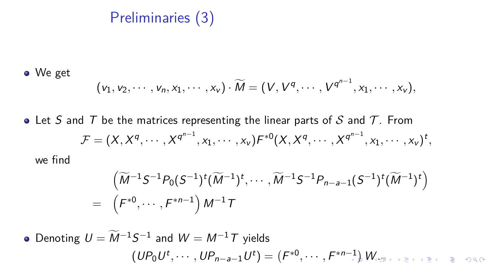#### <span id="page-41-0"></span>• We get

$$
(v_1,v_2,\cdots,v_n,x_1,\cdots,x_v)\cdot \widetilde{M}=(V,V^q,\cdots,V^{q^{n-1}},x_1,\cdots,x_v),
$$

# • Let S and T be the matrices representing the linear parts of S and T. From  $\mathcal{F}=(X,X^q,\cdots,X^{q^{n-1}},x_1,\cdots,x_{\nu})\digamma^{*0}(X,X^q,\cdots,X^{q^{n-1}},x_1,\cdots,x_{\nu})^t,$ we find

$$
\begin{aligned}\n&\left(\widetilde{M}^{-1}S^{-1}P_0(S^{-1})^t(\widetilde{M}^{-1})^t,\cdots,\widetilde{M}^{-1}S^{-1}P_{n-a-1}(S^{-1})^t(\widetilde{M}^{-1})^t\right)\\
&=\left(F^{*0},\cdots,F^{*n-1}\right)M^{-1}T\n\end{aligned}
$$

Denoting  $U = \widetilde{M}^{-1}S^{-1}$  and  $W = M^{-1}T$  yields  $(UP_0U^t, \cdots, UP_{n-a-1}U^t) = (F^{*0}, \cdots, F^{*n-1})W$  $(UP_0U^t, \cdots, UP_{n-a-1}U^t) = (F^{*0}, \cdots, F^{*n-1})W$  $(UP_0U^t, \cdots, UP_{n-a-1}U^t) = (F^{*0}, \cdots, F^{*n-1})W$  $(UP_0U^t, \cdots, UP_{n-a-1}U^t) = (F^{*0}, \cdots, F^{*n-1})W$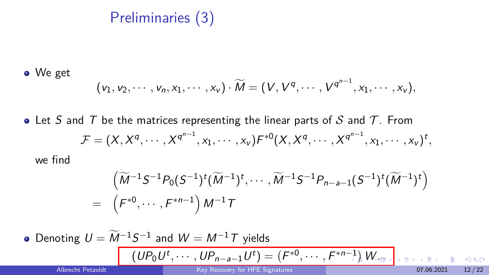#### <span id="page-42-0"></span>• We get

$$
(v_1,v_2,\cdots,v_n,x_1,\cdots,x_v)\cdot \widetilde{M}=(V,V^q,\cdots,V^{q^{n-1}},x_1,\cdots,x_v),
$$

• Let S and T be the matrices representing the linear parts of S and T. From  $\mathcal{F}=(X,X^q,\cdots,X^{q^{n-1}},x_1,\cdots,x_{\nu})\digamma^{*0}(X,X^q,\cdots,X^{q^{n-1}},x_1,\cdots,x_{\nu})^t,$ we find

$$
\begin{aligned}\n&\left(\widetilde{M}^{-1}S^{-1}P_0(S^{-1})^t(\widetilde{M}^{-1})^t,\cdots,\widetilde{M}^{-1}S^{-1}P_{n-a-1}(S^{-1})^t(\widetilde{M}^{-1})^t\right)\\
&=\left(F^{*0},\cdots,F^{*n-1}\right)M^{-1}T\n\end{aligned}
$$

Denoting  $U = \widetilde{M}^{-1}S^{-1}$  and  $W = M^{-1}T$  yields

$$
(UP_0U^t,\cdots,UP_{n-a-1}U^t)=(F^{*0},\cdots,F^{*n-1})_!W_{\mathbb{C}^n\times\mathbb{R}^n\times\mathbb{R}^n\times\mathbb{R}^n\times\mathbb{R}^n\times\mathbb{R}^n\times\mathbb{R}^n\times\mathbb{R}^n\times\mathbb{R}^n\times\mathbb{R}^n\times\mathbb{R}^n\times\mathbb{R}^n\times\mathbb{R}^n\times\mathbb{R}^n\times\mathbb{R}^n\times\mathbb{R}^n\times\mathbb{R}^n\times\mathbb{R}^n\times\mathbb{R}^n\times\mathbb{R}^n\times\mathbb{R}^n\times\mathbb{R}^n\times\mathbb{R}^n\times\mathbb{R}^n\times\mathbb{R}^n\times\mathbb{R}^n\times\mathbb{R}^n\times\mathbb{R}^n\times\mathbb{R}^n\times\mathbb{R}^n\times\mathbb{R}^n\times\mathbb{R}^n\times\mathbb{R}^n\times\mathbb{R}^n\times\mathbb{R}^n\times\mathbb{R}^n\times\mathbb{R}^n\times\mathbb{R}^n\times\mathbb{R}^n\times\mathbb{R}^n\times\mathbb{R}^n\times\mathbb{R}^n\times\mathbb{R}^n\times\mathbb{R}^n\times\mathbb{R}^n\times\mathbb{R}^n\times\mathbb{R}^n\times\mathbb{R}^n\times\mathbb{R}^n\times\mathbb{R}^n\times\mathbb{R}^n\times\mathbb{R}^n\times\mathbb{R}^n\times\mathbb{R}^n\times\mathbb{R}^n\times\mathbb{R}^n\times\mathbb{R}^n\times\mathbb{R}^n\times\mathbb{R}^n\times\mathbb{R}^n\times\mathbb{R}^n\times\mathbb{R}^n\times\mathbb{R}^n\times\mathbb{R}^n\times\mathbb{R}^n\times\mathbb{R}^n\times\mathbb{R}^n\times\mathbb{R}^n\times\mathbb{R}^n\times\mathbb{R}^n\times\mathbb{R}^n\times\mathbb{R}^n\t
$$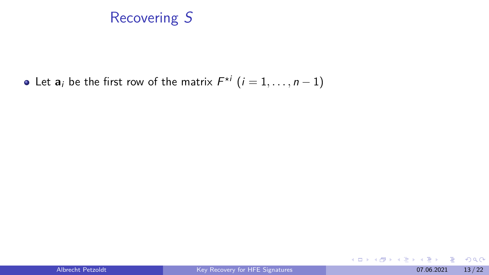

<span id="page-43-0"></span>Let  $a_i$  be the first row of the matrix  $F^{\star i}$   $(i = 1, \ldots, n-1)$ 

イロト 不倒 トイ君 トイ君  $299$ 

э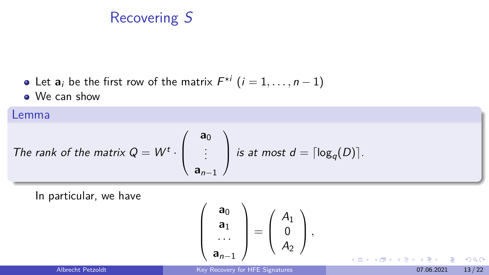## Recovering S

Let  $a_i$  be the first row of the matrix  $F^{\star i}$   $(i = 1, \ldots, n-1)$ • We can show

Lemma

The rank of the matrix 
$$
Q = W^t \cdot \begin{pmatrix} a_0 \\ \vdots \\ a_{n-1} \end{pmatrix}
$$
 is at most  $d = \lceil \log_q(D) \rceil$ .

 $\sqrt{ }$ 

 $\overline{\phantom{a}}$ 

In particular, we have

$$
\begin{pmatrix} \mathbf{a}_0 \\ \mathbf{a}_1 \\ \cdots \\ \mathbf{a}_{n-1} \end{pmatrix} = \begin{pmatrix} A_1 \\ 0 \\ A_2 \end{pmatrix},
$$

Albrecht Petzoldt **[Key Recovery for HFE Signatures](#page-0-0)** 1988 and 1999 12:000 12:000 13 / 22

 $299$ 

4 0 8

 $\mathcal{A} \oplus \mathcal{B}$   $\mathcal{B} \rightarrow \mathcal{A} \oplus \mathcal{B}$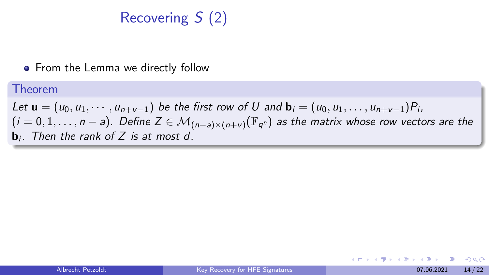# Recovering S (2)

#### • From the Lemma we directly follow

#### Theorem

Let  $\mathbf{u} = (u_0, u_1, \cdots, u_{n+v-1})$  be the first row of U and  $\mathbf{b}_i = (u_0, u_1, \ldots, u_{n+v-1})P_i$  $(i=0,1,\ldots,n-{\sf a}).$  Define  $Z\in\mathcal{M}_{(n-{\sf a})\times (n+\nu)}(\mathbb{F}_{q^n})$  as the matrix whose row vectors are the **b**i . Then the rank of Z is at most d.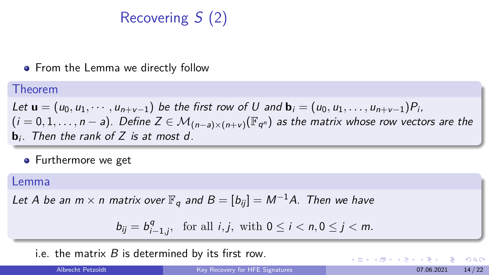# Recovering S (2)

#### • From the Lemma we directly follow

#### Theorem

Let  $\mathbf{u} = (u_0, u_1, \cdots, u_{n+v-1})$  be the first row of U and  $\mathbf{b}_i = (u_0, u_1, \ldots, u_{n+v-1})P_i$  $(i=0,1,\ldots,n-{\sf a}).$  Define  $Z\in\mathcal{M}_{(n-{\sf a})\times (n+\nu)}(\mathbb{F}_{q^n})$  as the matrix whose row vectors are the **b**i . Then the rank of Z is at most d.

• Furthermore we get

#### Lemma

Let A be an  $m \times n$  matrix over  $\mathbb{F}_q$  and  $B = [b_{ii}] = M^{-1}A$ . Then we have

$$
b_{ij} = b_{i-1,j}^q, \text{ for all } i,j, \text{ with } 0 \le i < n, 0 \le j < m.
$$

i.e. the matrix  $B$  is determined by its first row.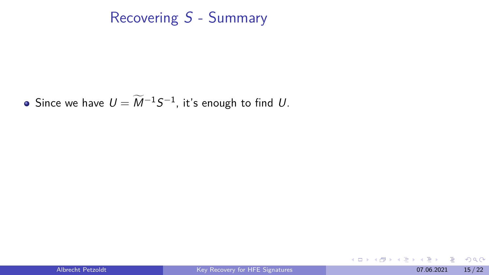Since we have  $U = M^{-1}S^{-1}$ , it's enough to find U.

э

 $299$ 

**∢ ロ ▶ - ∢ 何 ▶ - ∢ 三**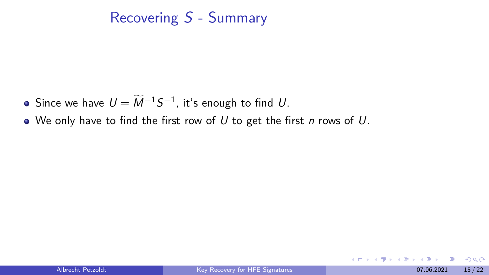- Since we have  $U = M^{-1}S^{-1}$ , it's enough to find U.
- $\bullet$  We only have to find the first row of U to get the first n rows of U.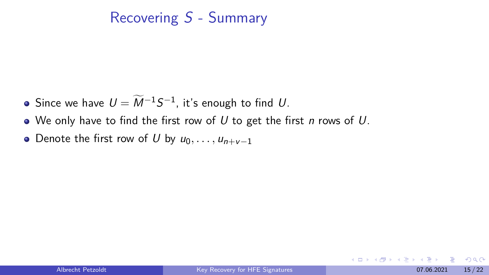- Since we have  $U = M^{-1}S^{-1}$ , it's enough to find U.
- $\bullet$  We only have to find the first row of U to get the first n rows of U.
- Denote the first row of U by  $u_0, \ldots, u_{n+\nu-1}$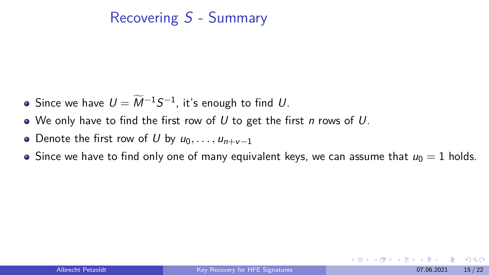- Since we have  $U = M^{-1}S^{-1}$ , it's enough to find U.
- $\bullet$  We only have to find the first row of U to get the first n rows of U.
- Denote the first row of U by  $u_0, \ldots, u_{n+\nu-1}$
- Since we have to find only one of many equivalent keys, we can assume that  $u_0 = 1$  holds.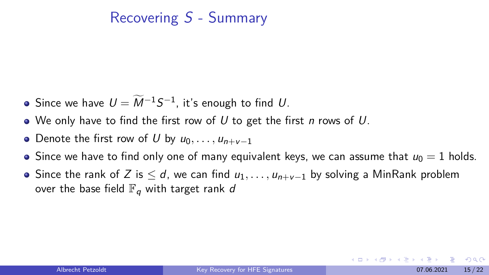- Since we have  $U = M^{-1}S^{-1}$ , it's enough to find U.
- $\bullet$  We only have to find the first row of U to get the first n rows of U.
- **•** Denote the first row of U by  $u_0, \ldots, u_{n+\nu-1}$
- Since we have to find only one of many equivalent keys, we can assume that  $u_0 = 1$  holds.
- Since the rank of Z is  $\leq d$ , we can find  $u_1, \ldots, u_{n+v-1}$  by solving a MinRank problem over the base field  $\mathbb{F}_q$  with target rank d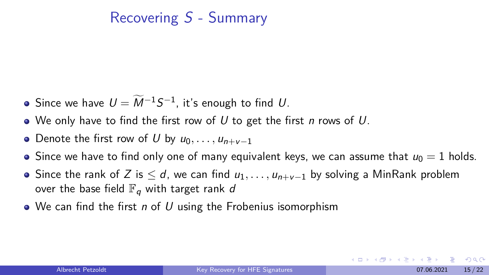- Since we have  $U = M^{-1}S^{-1}$ , it's enough to find U.
- $\bullet$  We only have to find the first row of U to get the first n rows of U.
- **•** Denote the first row of U by  $u_0, \ldots, u_{n+\nu-1}$
- Since we have to find only one of many equivalent keys, we can assume that  $u_0 = 1$  holds.
- Since the rank of Z is  $\leq d$ , we can find  $u_1, \ldots, u_{n+v-1}$  by solving a MinRank problem over the base field  $\mathbb{F}_q$  with target rank d
- We can find the first n of U using the Frobenius isomorphism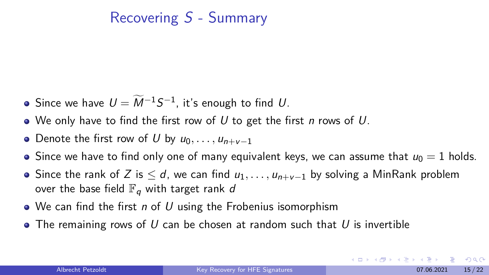- Since we have  $U = M^{-1}S^{-1}$ , it's enough to find U.
- $\bullet$  We only have to find the first row of U to get the first n rows of U.
- **•** Denote the first row of U by  $u_0, \ldots, u_{n+\nu-1}$
- Since we have to find only one of many equivalent keys, we can assume that  $u_0 = 1$  holds.
- Since the rank of Z is  $\leq d$ , we can find  $u_1, \ldots, u_{n+v-1}$  by solving a MinRank problem over the base field  $\mathbb{F}_q$  with target rank d
- We can find the first n of U using the Frobenius isomorphism
- The remaining rows of U can be chosen at random such that U is invertible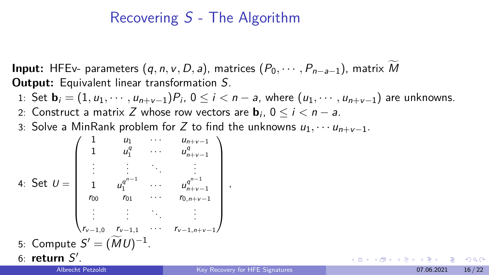## Recovering S - The Algorithm

**Input:** HFEv- parameters  $(q, n, v, D, a)$ , matrices  $(P_0, \dots, P_{n-a-1})$ , matrix M **Output:** Equivalent linear transformation S.

1: Set  $\mathbf{b}_i = (1, u_1, \cdots, u_{n+v-1})P_i$ ,  $0 \leq i < n-a$ , where  $(u_1, \cdots, u_{n+v-1})$  are unknowns.

,

- 2: Construct a matrix Z whose row vectors are  $\mathbf{b}_i$ ,  $0 \le i < n a$ .
- 3: Solve a MinRank problem for Z to find the unknowns  $u_1, \cdots u_{n+\nu-1}$ .

4: Set 
$$
U = \begin{pmatrix} 1 & u_1 & \cdots & u_{n+v-1} \\ 1 & u_1^q & \cdots & u_{n+v-1}^q \\ \vdots & \vdots & \ddots & \vdots \\ 1 & u_1^{q^{n-1}} & \cdots & u_{n+v-1}^{q^{n-1}} \\ r_{00} & r_{01} & \cdots & r_{0,n+v-1} \\ \vdots & \vdots & \ddots & \vdots \\ r_{v-1,0} & r_{v-1,1} & \cdots & r_{v-1,n+v-1} \end{pmatrix}
$$
  
\n5: Compute  $S' = (\widetilde{M}U)^{-1}$ .  
\n6: return S'.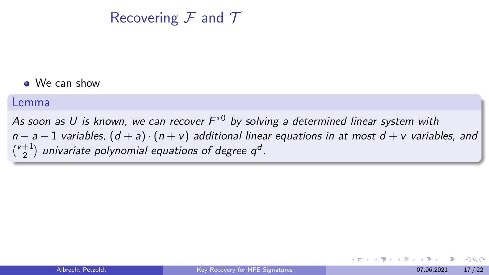## Recovering  $F$  and  $T$

• We can show

#### Lemma

As soon as U is known, we can recover  $F^{*0}$  by solving a determined linear system with  $n - a - 1$  variables,  $(d + a) \cdot (n + v)$  additional linear equations in at most  $d + v$  variables, and  $\binom{v+1}{2}$  $_2^{+1)}$  univariate polynomial equations of degree  $\mathfrak{q}^d$ .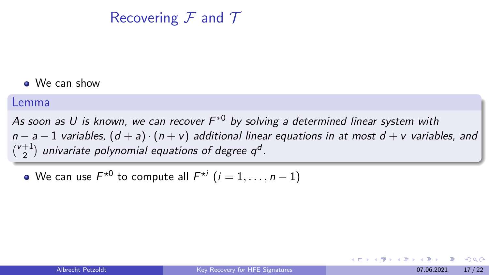## Recovering  $\mathcal F$  and  $\mathcal T$

• We can show

#### Lemma

As soon as U is known, we can recover  $F^{0}$  by solving a determined linear system with  $n - a - 1$  variables,  $(d + a) \cdot (n + v)$  additional linear equations in at most  $d + v$  variables, and  $\binom{v+1}{2}$  $_2^{+1)}$  univariate polynomial equations of degree  $\mathfrak{q}^d$ .

We can use  $F^{\star0}$  to compute all  $F^{\star i}$   $(i=1,\ldots,n-1)$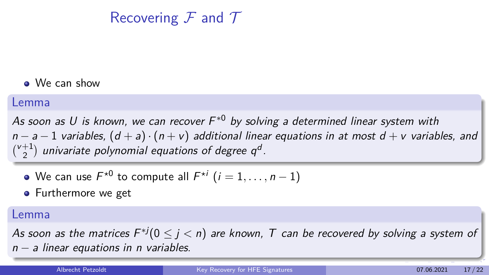# Recovering  $F$  and  $T$

• We can show

#### Lemma

As soon as U is known, we can recover  $F^{0}$  by solving a determined linear system with  $n - a - 1$  variables,  $(d + a) \cdot (n + v)$  additional linear equations in at most  $d + v$  variables, and  $\binom{v+1}{2}$  $_2^{+1)}$  univariate polynomial equations of degree  $\mathfrak{q}^d$ .

- We can use  $F^{\star0}$  to compute all  $F^{\star i}$   $(i=1,\ldots,n-1)$
- Furthermore we get

#### Lemma

As soon as the matrices F\*<sup>j</sup>(0 ≤ j < n) are known, T can be recovered by solving a system o*f*  $n - a$  linear equations in n variables.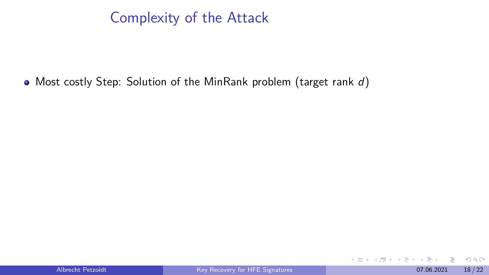## Complexity of the Attack

• Most costly Step: Solution of the MinRank problem (target rank d)

 $299$ 

4 0 8 ∢母

→ < 3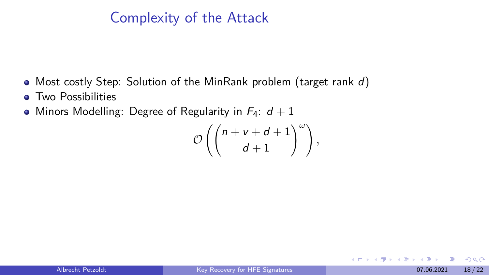## Complexity of the Attack

- Most costly Step: Solution of the MinRank problem (target rank d)
- **Two Possibilities**
- Minors Modelling: Degree of Regularity in  $F_4$ :  $d+1$

$$
\mathcal{O}\left(\binom{n+\nu+d+1}{d+1}^{\omega}\right),
$$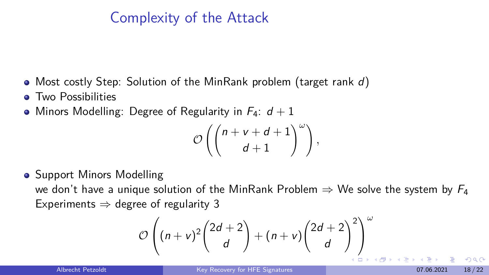# Complexity of the Attack

- Most costly Step: Solution of the MinRank problem (target rank d)
- **Two Possibilities**
- Minors Modelling: Degree of Regularity in  $F_4$ :  $d+1$

$$
\mathcal{O}\left(\binom{n+\nu+d+1}{d+1}^{\omega}\right),
$$

**• Support Minors Modelling** 

we don't have a unique solution of the MinRank Problem  $\Rightarrow$  We solve the system by  $F_4$ Experiments  $\Rightarrow$  degree of regularity 3

$$
\mathcal{O}\left((n+v)^2\binom{2d+2}{d}+(n+v)\binom{2d+2}{d}^2\right)^{\omega}
$$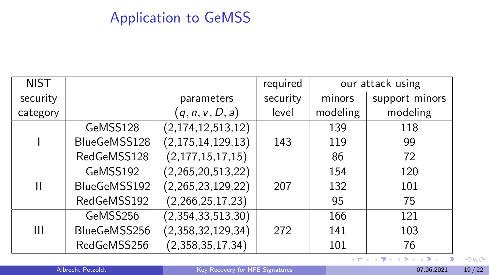| <b>NIST</b>   |              |                       | required | our attack using |                |
|---------------|--------------|-----------------------|----------|------------------|----------------|
| security      |              | parameters            | security | minors           | support minors |
| category      |              | (q, n, v, D, a)       | level    | modeling         | modeling       |
|               | GeMSS128     | (2, 174, 12, 513, 12) |          | 139              | 118            |
|               | BlueGeMSS128 | (2, 175, 14, 129, 13) | 143      | 119              | 99             |
|               | RedGeMSS128  | (2, 177, 15, 17, 15)  |          | 86               | 72             |
| $\mathsf{II}$ | GeMSS192     | (2,265,20,513,22)     |          | 154              | 120            |
|               | BlueGeMSS192 | (2,265,23,129,22)     | 207      | 132              | 101            |
|               | RedGeMSS192  | (2,266,25,17,23)      |          | 95               | 75             |
| Ш             | GeMSS256     | (2,354,33,513,30)     |          | 166              | 121            |
|               | BlueGeMSS256 | (2,358,32,129,34)     | 272      | 141              | 103            |
|               | RedGeMSS256  | (2,358,35,17,34)      |          | 101              | 76             |

メロメメ 倒 メメ ミメメ ヨメ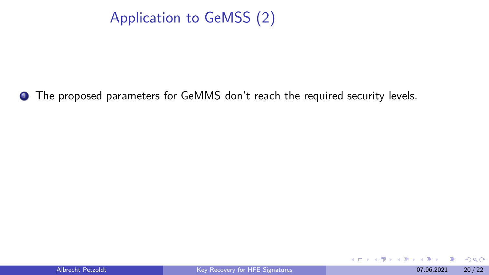**1** The proposed parameters for GeMMS don't reach the required security levels.

 $\Omega$ 

4 0 8

∢●●

 $\rightarrow$   $\rightarrow$   $\rightarrow$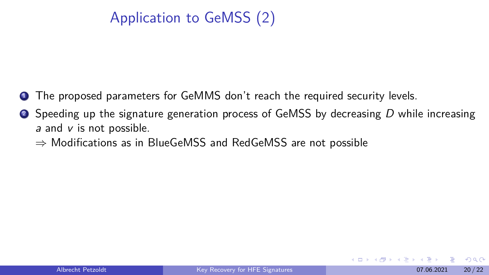- **1** The proposed parameters for GeMMS don't reach the required security levels.
- **2** Speeding up the signature generation process of GeMSS by decreasing D while increasing a and v is not possible.
	- $\Rightarrow$  Modifications as in BlueGeMSS and RedGeMSS are not possible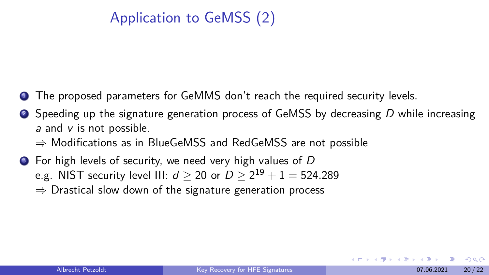- **1** The proposed parameters for GeMMS don't reach the required security levels.
- **2** Speeding up the signature generation process of GeMSS by decreasing D while increasing a and v is not possible.
	- $\Rightarrow$  Modifications as in BlueGeMSS and RedGeMSS are not possible
- **3** For high levels of security, we need very high values of D e.g. NIST security level III:  $d \geq 20$  or  $D \geq 2^{19}+1=524.289$  $\Rightarrow$  Drastical slow down of the signature generation process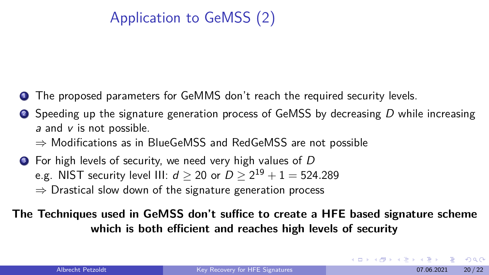- **1** The proposed parameters for GeMMS don't reach the required security levels.
- **2** Speeding up the signature generation process of GeMSS by decreasing D while increasing a and v is not possible.
	- $\Rightarrow$  Modifications as in BlueGeMSS and RedGeMSS are not possible
- **3** For high levels of security, we need very high values of D e.g. NIST security level III:  $d \geq 20$  or  $D \geq 2^{19}+1=524.289$  $\Rightarrow$  Drastical slow down of the signature generation process

**The Techniques used in GeMSS don't suffice to create a HFE based signature scheme which is both efficient and reaches high levels of security**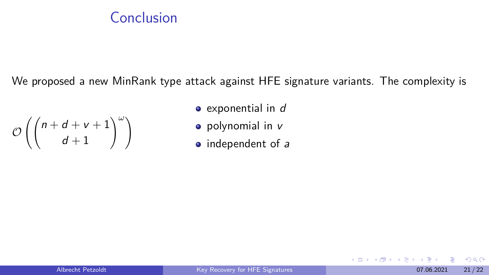### Conclusion

We proposed a new MinRank type attack against HFE signature variants. The complexity is

$$
\mathcal{O}\left(\binom{n+d+v+1}{d+1}^{\omega}\right)
$$

- $\bullet$  exponential in  $d$
- polynomial in v
- $\bullet$  independent of  $a$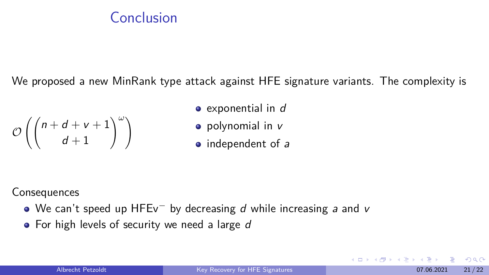### Conclusion

We proposed a new MinRank type attack against HFE signature variants. The complexity is

$$
\mathcal{O}\left(\binom{n+d+\nu+1}{d+1}^{\omega}\right)
$$

- $\bullet$  exponential in  $d$
- $\bullet$  polynomial in  $\nu$
- independent of a

**Consequences** 

- We can't speed up HFEv<sup>−</sup> by decreasing d while increasing a and v
- For high levels of security we need a large d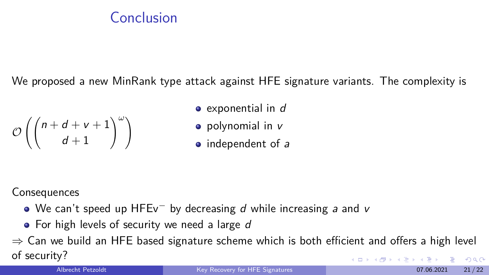### Conclusion

We proposed a new MinRank type attack against HFE signature variants. The complexity is

$$
\mathcal{O}\left(\binom{n+d+\nu+1}{d+1}^{\omega}\right)
$$

- $\bullet$  exponential in  $d$
- **•** polynomial in v
- independent of a

**Consequences** 

- We can't speed up HFEv<sup>-</sup> by decreasing d while increasing a and v
- For high levels of security we need a large d

 $\Rightarrow$  Can we build an HFE based signature scheme which is both efficient and offers a high level of security?  $\Omega$